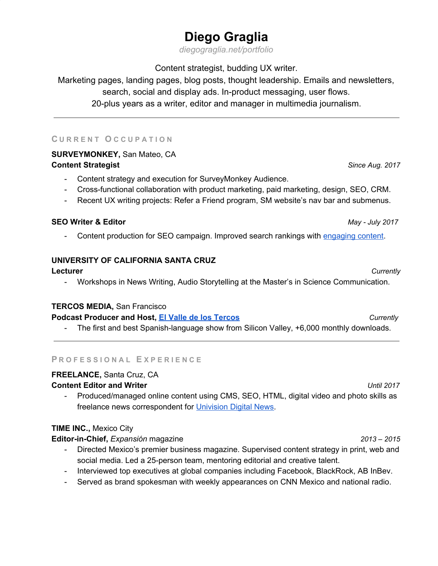# **Diego Graglia**

*[diegograglia.net/portfolio](http://www.diegograglia.net/portfolio/)*

Content strategist, budding UX writer.

Marketing pages, landing pages, blog posts, thought leadership. Emails and newsletters, search, social and display ads. In-product messaging, user flows. 20-plus years as a writer, editor and manager in multimedia journalism.

## **C U R R E N T O C C U P A T I O N**

## **SURVEYMONKEY,** San Mateo, CA **Content Strategist** *Since Aug. 2017*

- Content strategy and execution for SurveyMonkey Audience.
- Cross-functional collaboration with product marketing, paid marketing, design, SEO, CRM.
- Recent UX writing projects: Refer a Friend program, SM website's nav bar and submenus.

## **SEO Writer & Editor** *May - July 2017*

- Content production for SEO campaign. Improved search rankings with [engaging](https://www.surveymonkey.com/mp/likert-scale/) content.

## **UNIVERSITY OF CALIFORNIA SANTA CRUZ**

#### **Lecturer** *Currently*

- Workshops in News Writing, Audio Storytelling at the Master's in Science Communication.

#### **TERCOS MEDIA,** San Francisco

#### **Podcast Producer and Host, El Valle de los [Tercos](http://www.elvalledelostercos.com/)** *Currently*

- The first and best Spanish-language show from Silicon Valley, +6,000 monthly downloads.

#### **P R O F E S S I O N A L E X P E R I E N C E**

#### **FREELANCE,** Santa Cruz, CA

#### **Content Editor and Writer** *Until 2017*

- Produced/managed online content using CMS, SEO, HTML, digital video and photo skills as freelance news correspondent for [Univision](https://www.univision.com/univision-news/politics/undocumented-farm-laborers-wake-up-fearing-uncertain-future) Digital News.

## **TIME INC.,** Mexico City

**Editor-in-Chief,** *Expansión* magazine *2013 – 2015*

- Directed Mexico's premier business magazine. Supervised content strategy in print, web and social media. Led a 25-person team, mentoring editorial and creative talent.
- Interviewed top executives at global companies including Facebook, BlackRock, AB InBev.
- Served as brand spokesman with weekly appearances on CNN Mexico and national radio.